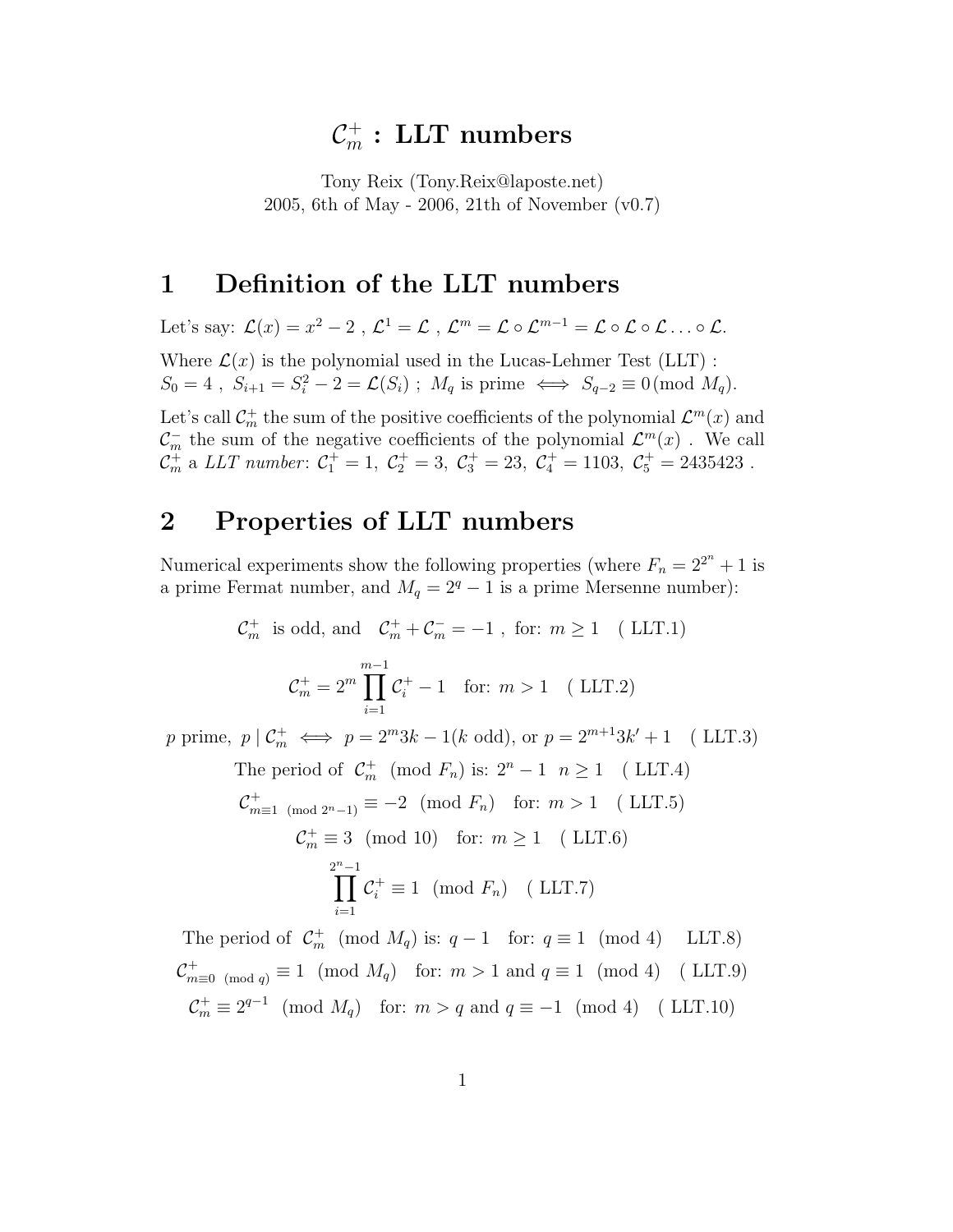# $\mathcal{C}_m^+:\text{LLT numbers}$

Tony Reix (Tony.Reix@laposte.net) 2005, 6th of May - 2006, 21th of November (v0.7)

### 1 Definition of the LLT numbers

Let's say:  $\mathcal{L}(x) = x^2 - 2$ ,  $\mathcal{L}^1 = \mathcal{L}$ ,  $\mathcal{L}^m = \mathcal{L} \circ \mathcal{L}^{m-1} = \mathcal{L} \circ \mathcal{L} \circ \mathcal{L} \dots \circ \mathcal{L}$ . Where  $\mathcal{L}(x)$  is the polynomial used in the Lucas-Lehmer Test (LLT) :  $S_0 = 4$ ,  $S_{i+1} = S_i^2 - 2 = \mathcal{L}(S_i)$ ;  $M_q$  is prime  $\iff S_{q-2} \equiv 0 \pmod{M_q}$ . Let's call  $\mathcal{C}_m^+$  the sum of the positive coefficients of the polynomial  $\mathcal{L}^m(x)$  and

 $\mathcal{C}_m^-$  the sum of the negative coefficients of the polynomial  $\mathcal{L}^m(x)$ . We call  $C_m^+$  a LLT number:  $C_1^+ = 1$ ,  $C_2^+ = 3$ ,  $C_3^+ = 23$ ,  $C_4^+ = 1103$ ,  $C_5^+ = 2435423$ .

### 2 Properties of LLT numbers

Numerical experiments show the following properties (where  $F_n = 2^{2^n} + 1$  is a prime Fermat number, and  $M_q = 2^q - 1$  is a prime Mersenne number):

$$
\mathcal{C}_m^+ \text{ is odd, and } \mathcal{C}_m^+ + \mathcal{C}_m^- = -1 \text{, for: } m \ge 1 \quad \text{(LLT.1)}
$$
\n
$$
\mathcal{C}_m^+ = 2^m \prod_{i=1}^{m-1} \mathcal{C}_i^+ - 1 \quad \text{for: } m > 1 \quad \text{(LLT.2)}
$$
\n
$$
p \text{ prime, } p \mid \mathcal{C}_m^+ \iff p = 2^m 3k - 1(k \text{ odd}), \text{ or } p = 2^{m+1} 3k' + 1 \quad \text{(LLT.3)}
$$

The period of 
$$
\mathcal{C}_m^+
$$
 (mod  $F_n$ ) is:  $2^n - 1$   $n \ge 1$  (LLT.4)  $\mathcal{C}_{m\equiv 1 \pmod{2^n-1}}^+ \equiv -2 \pmod{F_n}$  for:  $m > 1$  (LLT.5)  $\mathcal{C}_m^+ \equiv 3 \pmod{10}$  for:  $m \ge 1$  (LLT.6)  $\sum_{i=1}^{2^n-1} \mathcal{C}_i^+ \equiv 1 \pmod{F_n}$  (LLT.7)

The period of  $C_m^+ \pmod{M_q}$  is:  $q-1 \pmod{q} \equiv 1 \pmod{4}$  LLT.8)  $\mathcal{C}_{m\equiv 0\pmod{q}}^+ \equiv 1 \pmod{M_q}$  for:  $m > 1$  and  $q \equiv 1 \pmod{4}$  (LLT.9)  $\mathcal{C}_m^+ \equiv 2^{q-1} \pmod{M_q}$  for:  $m > q$  and  $q \equiv -1 \pmod{4}$  (LLT.10)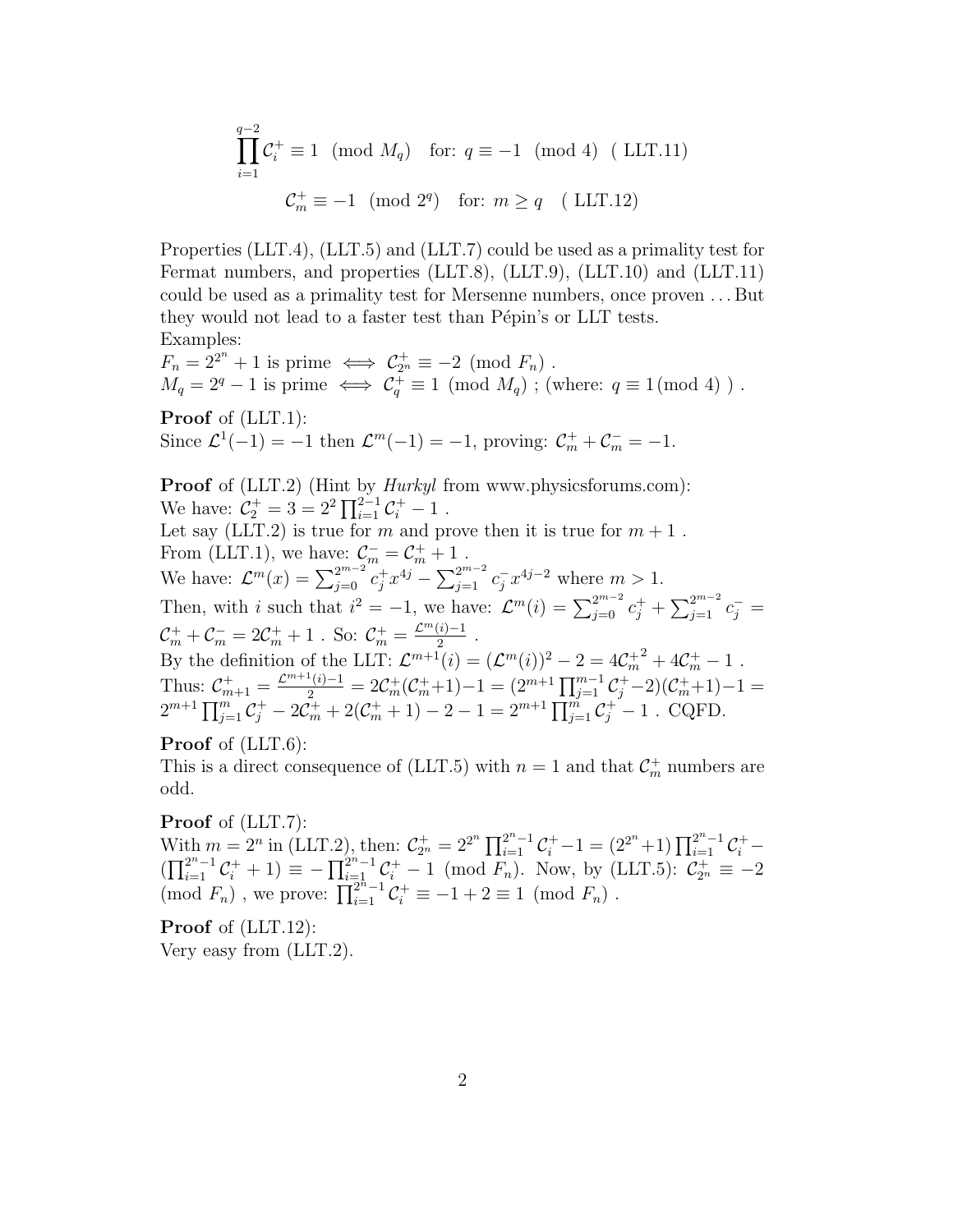$$
\prod_{i=1}^{q-2} C_i^+ \equiv 1 \pmod{M_q} \quad \text{for: } q \equiv -1 \pmod{4} \quad (\text{LLT.11})
$$

$$
C_m^+ \equiv -1 \pmod{2^q} \quad \text{for: } m \ge q \quad (\text{LLT.12})
$$

Properties (LLT.4), (LLT.5) and (LLT.7) could be used as a primality test for Fermat numbers, and properties (LLT.8), (LLT.9), (LLT.10) and (LLT.11) could be used as a primality test for Mersenne numbers, once proven . . . But they would not lead to a faster test than Pépin's or LLT tests. Examples:

 $F_n = 2^{2^n} + 1$  is prime  $\iff C_{2^n}^+ \equiv -2 \pmod{F_n}$ .  $M_q = 2^q - 1$  is prime  $\iff C_q^+ \equiv 1 \pmod{M_q}$ ; (where:  $q \equiv 1 \pmod{4}$ ).

Proof of (LLT.1): Since  $\mathcal{L}^1(-1) = -1$  then  $\mathcal{L}^m(-1) = -1$ , proving:  $\mathcal{C}_m^+ + \mathcal{C}_m^- = -1$ .

**Proof** of (LLT.2) (Hint by *Hurkyl* from www.physicsforums.com): We have:  $\mathcal{C}_2^+ = 3 = 2^2 \prod_{i=1}^{2^2-1} \mathcal{C}_i^+ - 1$ . Let say (LLT.2) is true for  $m$  and prove then it is true for  $m + 1$ . From (LLT.1), we have:  $\mathcal{C}_m^- = \mathcal{C}_m^+ + 1$ . We have:  $\mathcal{L}^{m}(x) = \sum_{j=0}^{2^{m-2}} c_j^+ x^{4j} - \sum_{j=1}^{2^{m-2}} c_j^- x^{4j-2}$  where  $m > 1$ . Then, with i such that  $i^2 = -1$ , we have:  $\mathcal{L}^m(i) = \sum_{j=0}^{2^{m-2}} c_j^+ + \sum_{j=1}^{2^{m-2}} c_j^- =$  $\mathcal{C}_m^+ + \mathcal{C}_m^- = 2\mathcal{C}_m^+ + 1$ . So:  $\mathcal{C}_m^+ = \frac{\mathcal{L}^m(i)-1}{2}$  $\frac{\binom{i}{2}-1}{2}$ . By the definition of the LLT:  $\mathcal{L}^{m+1}(i) = (\mathcal{L}^m(i))^2 - 2 = 4\mathcal{C}_m^{+2} + 4\mathcal{C}_m^{+} - 1$ . Thus:  $\mathcal{C}_{m+1}^+ = \frac{\mathcal{L}^{m+1}(i)-1}{2} = 2\mathcal{C}_m^+(\mathcal{C}_m^+ + 1) - 1 = (2^{m+1}\prod_{j=1}^{m-1}\mathcal{C}_j^+ - 2)(\mathcal{C}_m^+ + 1) - 1 =$  $2^{m+1} \prod_{j=1}^{m} C_j^+ - 2C_m^+ + 2(C_m^+ + 1) - 2 - 1 = 2^{m+1} \prod_{j=1}^{m} C_j^+ - 1$ . CQFD.

Proof of (LLT.6):

This is a direct consequence of (LLT.5) with  $n = 1$  and that  $C_m^+$  numbers are odd.

Proof of (LLT.7):

With  $m = 2^n$  in (LLT.2), then:  $C_{2^n}^+ = 2^{2^n} \prod_{i=1}^{2^n-1} C_i^+ - 1 = (2^{2^n}+1) \prod_{i=1}^{2^n-1} C_i^+ (\prod_{i=1}^{2^n-1} C_i^+ + 1) \equiv -\prod_{i=1}^{2^n-1} C_i^+ - 1 \pmod{F_n}$ . Now, by (LLT.5):  $C_{2^n}^+ \equiv -2$  $(\text{mod } F_n)$ , we prove:  $\prod_{i=1}^{n-1} C_i^+ \equiv -1 + 2 \equiv 1 \pmod{F_n}$ .

Proof of (LLT.12): Very easy from (LLT.2).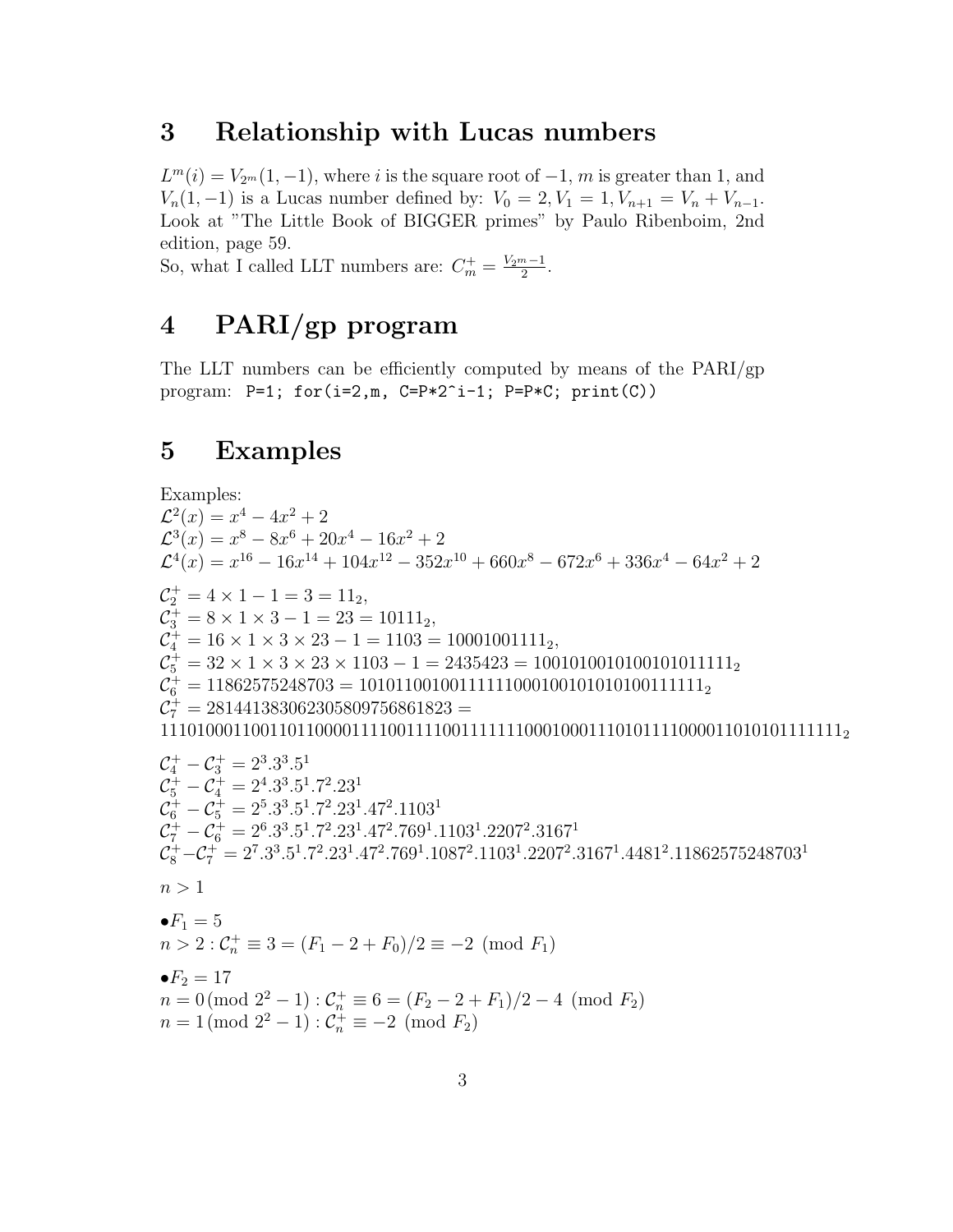#### 3 Relationship with Lucas numbers

 $L^m(i) = V_{2^m}(1, -1)$ , where i is the square root of  $-1$ , m is greater than 1, and  $V_n(1,-1)$  is a Lucas number defined by:  $V_0 = 2, V_1 = 1, V_{n+1} = V_n + V_{n-1}$ . Look at "The Little Book of BIGGER primes" by Paulo Ribenboim, 2nd edition, page 59.

So, what I called LLT numbers are:  $C_m^+ = \frac{V_{2m}-1}{2}$  $\frac{n-1}{2}$ .

## 4 PARI/gp program

The LLT numbers can be efficiently computed by means of the PARI/gp program: P=1; for(i=2,m, C=P\*2^i-1; P=P\*C; print(C))

### 5 Examples

Examples:  $\mathcal{L}^2(x) = x^4 - 4x^2 + 2$  $\mathcal{L}^3(x) = x^8 - 8x^6 + 20x^4 - 16x^2 + 2$  $\mathcal{L}^4(x) = x^{16} - 16x^{14} + 104x^{12} - 352x^{10} + 660x^8 - 672x^6 + 336x^4 - 64x^2 + 2$  $\mathcal{C}_2^+ = 4 \times 1 - 1 = 3 = 11_2,$  $\mathcal{C}_3^+ = 8 \times 1 \times 3 - 1 = 23 = 10111_2,$  $\mathcal{C}_4^+ = 16 \times 1 \times 3 \times 23 - 1 = 1103 = 10001001111_2,$  $C_5^+ = 32 \times 1 \times 3 \times 23 \times 1103 - 1 = 2435423 = 100101001010101011111_2$  $\mathcal{C}_6^+ = 11862575248703 = 1010110010011111100010010101010111111_2$  $C_7^+ = 281441383062305809756861823 =$ 111010001100110110000111100111100111111100010001110101111000011010101111111<sup>2</sup>  $\mathcal{C}_4^+ - \mathcal{C}_3^+ = 2^3 \cdot 3^3 \cdot 5^1$  $\mathcal{C}_5^+ - \mathcal{C}_4^+ = 2^4.3^3.5^1.7^2.23^1$  $\mathcal{C}_6^+ - \mathcal{C}_5^+ = 2^5.3^3.5^1.7^2.23^1.47^2.1103^1$  $C_7^+ - C_6^+ = 2^6 \cdot 3^3 \cdot 5^1 \cdot 7^2 \cdot 23^1 \cdot 47^2 \cdot 769^1 \cdot 1103^1 \cdot 2207^2 \cdot 3167^1$  $\mathcal{C}_8^+ - \mathcal{C}_7^+ = 2^7.3^3.5^1.7^2.23^1.47^2.769^1.1087^2.1103^1.2207^2.3167^1.4481^2.11862575248703^1$  $n > 1$  $\bullet F_1 = 5$  $n > 2$ :  $C_n^+ \equiv 3 = (F_1 - 2 + F_0)/2 \equiv -2 \pmod{F_1}$ • $F_2 = 17$  $n = 0 \pmod{2^2 - 1}$ :  $C_n^+ \equiv 6 = (F_2 - 2 + F_1)/2 - 4 \pmod{F_2}$  $n = 1 \pmod{2^2 - 1}$ :  $C_n^+ \equiv -2 \pmod{F_2}$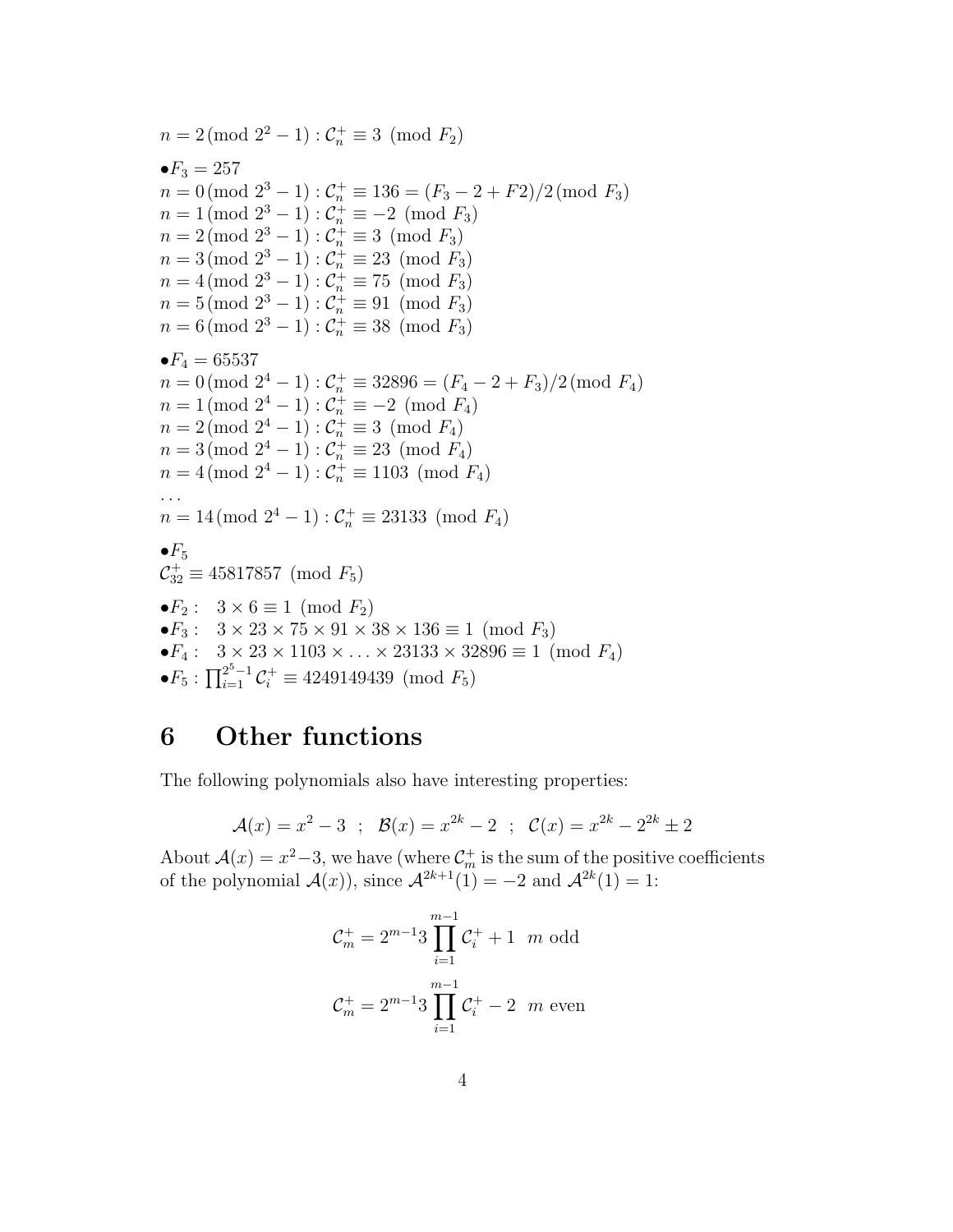$n = 2 \pmod{2^2 - 1} : C_n^+ \equiv 3 \pmod{F_2}$ • $F_3 = 257$  $n = 0 \pmod{2^3 - 1}$ :  $C_n^+ \equiv 136 = (F_3 - 2 + F_2)/2 \pmod{F_3}$  $n = 1 \pmod{2^3 - 1}$ :  $C_n^+ \equiv -2 \pmod{F_3}$  $n = 2 \pmod{2^3 - 1} : C_n^+ \equiv 3 \pmod{F_3}$  $n = 3 \pmod{2^3 - 1} : C_n^+ \equiv 23 \pmod{F_3}$  $n = 4 \pmod{2^3 - 1} : C_n^+ \equiv 75 \pmod{F_3}$  $n = 5 \pmod{2^3 - 1} : C_n^+ \equiv 91 \pmod{F_3}$  $n = 6 \pmod{2^3 - 1} : C_n^+ \equiv 38 \pmod{F_3}$  $\bullet F_4 = 65537$  $n = 0 \pmod{2^4 - 1}$ :  $C_n^+ \equiv 32896 = (F_4 - 2 + F_3)/2 \pmod{F_4}$  $n = 1 \pmod{2^4 - 1}$ :  $C_n^+ \equiv -2 \pmod{F_4}$  $n = 2 \pmod{2^4 - 1} : C_n^+ \equiv 3 \pmod{F_4}$  $n = 3 \pmod{2^4 - 1} : C_n^+ \equiv 23 \pmod{F_4}$  $n = 4 \pmod{2^4 - 1}$ :  $C_n^+ \equiv 1103 \pmod{F_4}$ ...  $n = 14 \pmod{2^4 - 1}$ :  $C_n^+ \equiv 23133 \pmod{F_4}$  $\bullet F_5$  $C_{32}^{\dagger} \equiv 45817857 \pmod{F_5}$  $\bullet F_2$ :  $3 \times 6 \equiv 1 \pmod{F_2}$  $\bullet F_3: \ \ 3\times 23\times 75\times 91\times 38\times 136\equiv 1\pmod{F_3}$ • $F_4$ :  $3 \times 23 \times 1103 \times ... \times 23133 \times 32896 \equiv 1 \pmod{F_4}$ • $F_5: \prod_{i=1}^{2^5-1} C_i^+ \equiv 4249149439 \pmod{F_5}$ 

### 6 Other functions

The following polynomials also have interesting properties:

$$
\mathcal{A}(x) = x^2 - 3
$$
;  $\mathcal{B}(x) = x^{2k} - 2$ ;  $\mathcal{C}(x) = x^{2k} - 2^{2k} \pm 2$ 

About  $\mathcal{A}(x) = x^2 - 3$ , we have (where  $\mathcal{C}_m^+$  is the sum of the positive coefficients of the polynomial  $\mathcal{A}(x)$ , since  $\mathcal{A}^{2k+1}(1) = -2$  and  $\mathcal{A}^{2k}(1) = 1$ :

$$
C_m^+ = 2^{m-1}3 \prod_{i=1}^{m-1} C_i^+ + 1 \quad m \text{ odd}
$$

$$
C_m^+ = 2^{m-1}3 \prod_{i=1}^{m-1} C_i^+ - 2 \quad m \text{ even}
$$